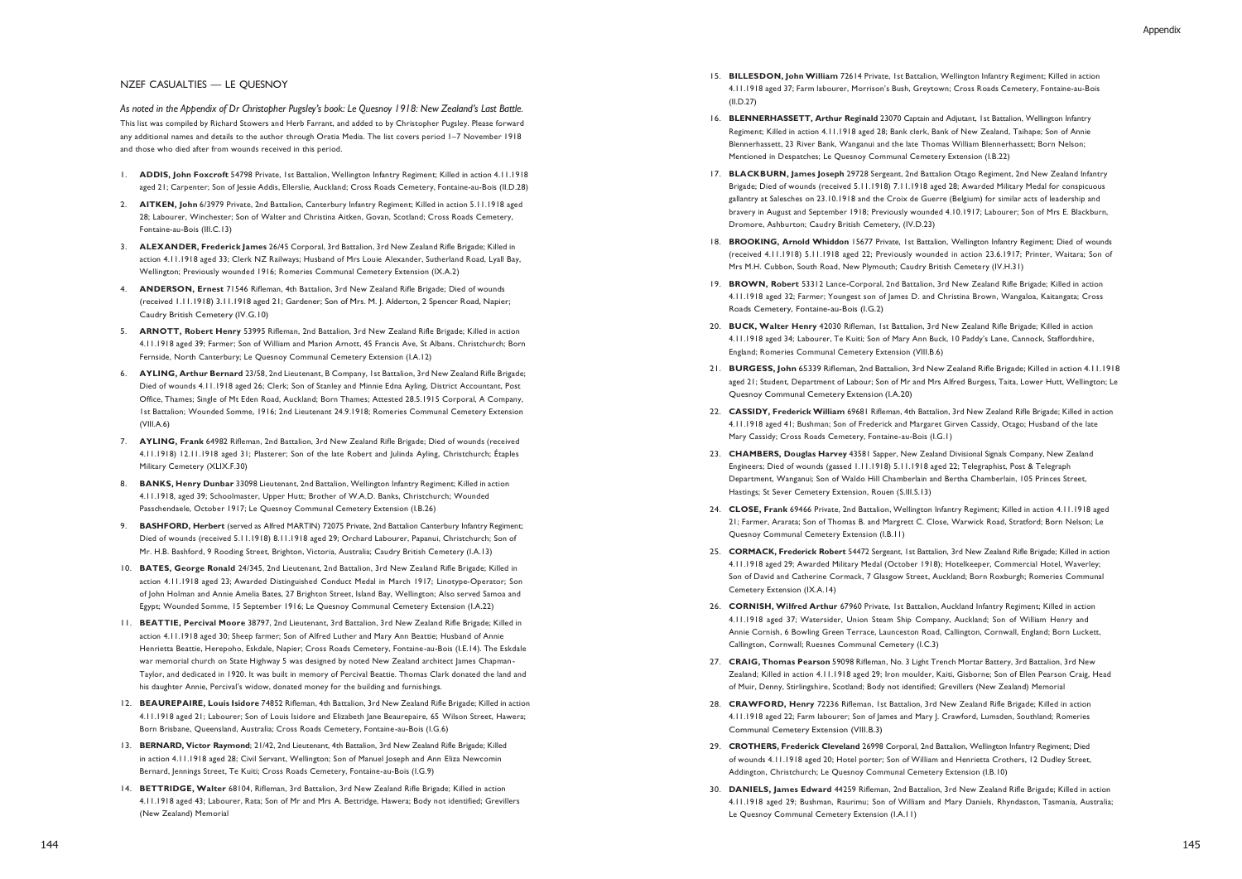## NZEF CASUALTIES — LE QUESNOY

*As noted in the Appendix of Dr Christopher Pugsley's book: Le Quesnoy 1918: New Zealand's Last Battle.* This list was compiled by Richard Stowers and Herb Farrant, and added to by Christopher Pugsley. Please forward any additional names and details to the author through Oratia Media. The list covers period 1–7 November 1918 and those who died after from wounds received in this period.

- 1. **ADDIS, John Foxcroft** 54798 Private, 1st Battalion, Wellington Infantry Regiment; Killed in action 4.11.1918 aged 21; Carpenter; Son of Jessie Addis, Ellerslie, Auckland; Cross Roads Cemetery, Fontaine-au-Bois (II.D.28)
- 2. **AITKEN, John** 6/3979 Private, 2nd Battalion, Canterbury Infantry Regiment; Killed in action 5.11.1918 aged 28; Labourer, Winchester; Son of Walter and Christina Aitken, Govan, Scotland; Cross Roads Cemetery, Fontaine-au-Bois (III.C.13)
- 3. **ALEXANDER, Frederick James** 26/45 Corporal, 3rd Battalion, 3rd New Zealand Rifle Brigade; Killed in action 4.11.1918 aged 33; Clerk NZ Railways; Husband of Mrs Louie Alexander, Sutherland Road, Lyall Bay, Wellington; Previously wounded 1916; Romeries Communal Cemetery Extension (IX.A.2)
- 4. **ANDERSON, Ernest** 71546 Rifleman, 4th Battalion, 3rd New Zealand Rifle Brigade; Died of wounds (received 1.11.1918) 3.11.1918 aged 21; Gardener; Son of Mrs. M. J. Alderton, 2 Spencer Road, Napier; Caudry British Cemetery (IV.G.10)
- 5. **ARNOTT, Robert Henry** 53995 Rifleman, 2nd Battalion, 3rd New Zealand Rifle Brigade; Killed in action 4.11.1918 aged 39; Farmer; Son of William and Marion Arnott, 45 Francis Ave, St Albans, Christchurch; Born Fernside, North Canterbury; Le Quesnoy Communal Cemetery Extension (I.A.12)
- 6. **AYLING, Arthur Bernard** 23/58, 2nd Lieutenant, B Company, 1st Battalion, 3rd New Zealand Rifle Brigade; Died of wounds 4.11.1918 aged 26; Clerk; Son of Stanley and Minnie Edna Ayling, District Accountant, Post Office, Thames; Single of Mt Eden Road, Auckland; Born Thames; Attested 28.5.1915 Corporal, A Company, 1st Battalion; Wounded Somme, 1916; 2nd Lieutenant 24.9.1918; Romeries Communal Cemetery Extension  $(VIII.A.6)$
- 7. **AYLING, Frank** 64982 Rifleman, 2nd Battalion, 3rd New Zealand Rifle Brigade; Died of wounds (received 4.11.1918) 12.11.1918 aged 31; Plasterer; Son of the late Robert and Julinda Ayling, Christchurch; Étaples Military Cemetery (XLIX.F.30)
- 8. **BANKS, Henry Dunbar** 33098 Lieutenant, 2nd Battalion, Wellington Infantry Regiment; Killed in action 4.11.1918, aged 39; Schoolmaster, Upper Hutt; Brother of W.A.D. Banks, Christchurch; Wounded Passchendaele, October 1917; Le Quesnoy Communal Cemetery Extension (I.B.26)
- 9. **BASHFORD, Herbert** (served as Alfred MARTIN) 72075 Private, 2nd Battalion Canterbury Infantry Regiment; Died of wounds (received 5.11.1918) 8.11.1918 aged 29; Orchard Labourer, Papanui, Christchurch; Son of Mr. H.B. Bashford, 9 Rooding Street, Brighton, Victoria, Australia; Caudry British Cemetery (I.A.13)
- 10. **BATES, George Ronald** 24/345, 2nd Lieutenant, 2nd Battalion, 3rd New Zealand Rifle Brigade; Killed in action 4.11.1918 aged 23; Awarded Distinguished Conduct Medal in March 1917; Linotype-Operator; Son of John Holman and Annie Amelia Bates, 27 Brighton Street, Island Bay, Wellington; Also served Samoa and Egypt; Wounded Somme, 15 September 1916; Le Quesnoy Communal Cemetery Extension (I.A.22)
- 11. **BEATTIE, Percival Moore** 38797, 2nd Lieutenant, 3rd Battalion, 3rd New Zealand Rifle Brigade; Killed in action 4.11.1918 aged 30; Sheep farmer; Son of Alfred Luther and Mary Ann Beattie; Husband of Annie Henrietta Beattie, Herepoho, Eskdale, Napier; Cross Roads Cemetery, Fontaine-au-Bois (I.E.14). The Eskdale war memorial church on State Highway 5 was designed by noted New Zealand architect James Chapman-Taylor, and dedicated in 1920. It was built in memory of Percival Beattie. Thomas Clark donated the land and his daughter Annie, Percival's widow, donated money for the building and furnishings.
- 12. **BEAUREPAIRE, Louis Isidore** 74852 Rifleman, 4th Battalion, 3rd New Zealand Rifle Brigade; Killed in action 4.11.1918 aged 21; Labourer; Son of Louis Isidore and Elizabeth Jane Beaurepaire, 65 Wilson Street, Hawera; Born Brisbane, Queensland, Australia; Cross Roads Cemetery, Fontaine-au-Bois (I.G.6)
- 13. **BERNARD, Victor Raymond**; 21/42, 2nd Lieutenant, 4th Battalion, 3rd New Zealand Rifle Brigade; Killed in action 4.11.1918 aged 28; Civil Servant, Wellington; Son of Manuel Joseph and Ann Eliza Newcomin Bernard, Jennings Street, Te Kuiti; Cross Roads Cemetery, Fontaine-au-Bois (I.G.9)
- 14. **BETTRIDGE, Walter** 68104, Rifleman, 3rd Battalion, 3rd New Zealand Rifle Brigade; Killed in action 4.11.1918 aged 43; Labourer, Rata; Son of Mr and Mrs A. Bettridge, Hawera; Body not identified; Grevillers (New Zealand) Memorial
- 15. **BILLESDON, John William** 72614 Private, 1st Battalion, Wellington Infantry Regiment; Killed in action 4.11.1918 aged 37; Farm labourer, Morrison's Bush, Greytown; Cross Roads Cemetery, Fontaine-au-Bois (II.D.27)
- 16. **BLENNERHASSETT, Arthur Reginald** 23070 Captain and Adjutant, 1st Battalion, Wellington Infantry Regiment; Killed in action 4.11.1918 aged 28; Bank clerk, Bank of New Zealand, Taihape; Son of Annie Blennerhassett, 23 River Bank, Wanganui and the late Thomas William Blennerhassett; Born Nelson; Mentioned in Despatches; Le Quesnoy Communal Cemetery Extension (I.B.22)
- 17. **BLACKBURN, James Joseph** 29728 Sergeant, 2nd Battalion Otago Regiment, 2nd New Zealand Infantry Brigade; Died of wounds (received 5.11.1918) 7.11.1918 aged 28; Awarded Military Medal for conspicuous gallantry at Salesches on 23.10.1918 and the Croix de Guerre (Belgium) for similar acts of leadership and bravery in August and September 1918; Previously wounded 4.10.1917; Labourer; Son of Mrs E. Blackburn, Dromore, Ashburton; Caudry British Cemetery, (IV.D.23)
- 18. **BROOKING, Arnold Whiddon** 15677 Private, 1st Battalion, Wellington Infantry Regiment; Died of wounds (received 4.11.1918) 5.11.1918 aged 22; Previously wounded in action 23.6.1917; Printer, Waitara; Son of Mrs M.H. Cubbon, South Road, New Plymouth; Caudry British Cemetery (IV.H.31)
- 19. **BROWN, Robert** 53312 Lance-Corporal, 2nd Battalion, 3rd New Zealand Rifle Brigade; Killed in action 4.11.1918 aged 32; Farmer; Youngest son of James D. and Christina Brown, Wangaloa, Kaitangata; Cross Roads Cemetery, Fontaine-au-Bois (I.G.2)
- 20. **BUCK, Walter Henry** 42030 Rifleman, 1st Battalion, 3rd New Zealand Rifle Brigade; Killed in action 4.11.1918 aged 34; Labourer, Te Kuiti; Son of Mary Ann Buck, 10 Paddy's Lane, Cannock, Staffordshire, England; Romeries Communal Cemetery Extension (VIII.B.6)
- 21. **BURGESS, John** 65339 Rifleman, 2nd Battalion, 3rd New Zealand Rifle Brigade; Killed in action 4.11.1918 aged 21; Student, Department of Labour; Son of Mr and Mrs Alfred Burgess, Taita, Lower Hutt, Wellington; Le Quesnoy Communal Cemetery Extension (I.A.20)
- 22. **CASSIDY, Frederick William** 69681 Rifleman, 4th Battalion, 3rd New Zealand Rifle Brigade; Killed in action 4.11.1918 aged 41; Bushman; Son of Frederick and Margaret Girven Cassidy, Otago; Husband of the late Mary Cassidy; Cross Roads Cemetery, Fontaine-au-Bois (I.G.1)
- 23. **CHAMBERS, Douglas Harvey** 43581 Sapper, New Zealand Divisional Signals Company, New Zealand Engineers; Died of wounds (gassed 1.11.1918) 5.11.1918 aged 22; Telegraphist, Post & Telegraph Department, Wanganui; Son of Waldo Hill Chamberlain and Bertha Chamberlain, 105 Princes Street, Hastings; St Sever Cemetery Extension, Rouen (S.III.S.13)
- 24. **CLOSE, Frank** 69466 Private, 2nd Battalion, Wellington Infantry Regiment; Killed in action 4.11.1918 aged 21; Farmer, Ararata; Son of Thomas B. and Margrett C. Close, Warwick Road, Stratford; Born Nelson; Le Quesnoy Communal Cemetery Extension (I.B.11)
- 25. **CORMACK, Frederick Robert** 54472 Sergeant, 1st Battalion, 3rd New Zealand Rifle Brigade; Killed in action 4.11.1918 aged 29; Awarded Military Medal (October 1918); Hotelkeeper, Commercial Hotel, Waverley; Son of David and Catherine Cormack, 7 Glasgow Street, Auckland; Born Roxburgh; Romeries Communal Cemetery Extension (IX.A.14)
- 26. **CORNISH, Wilfred Arthur** 67960 Private, 1st Battalion, Auckland Infantry Regiment; Killed in action 4.11.1918 aged 37; Watersider, Union Steam Ship Company, Auckland; Son of William Henry and Annie Cornish, 6 Bowling Green Terrace, Launceston Road, Callington, Cornwall, England; Born Luckett, Callington, Cornwall; Ruesnes Communal Cemetery (I.C.3)
- 27. **CRAIG, Thomas Pearson** 59098 Rifleman, No. 3 Light Trench Mortar Battery, 3rd Battalion, 3rd New Zealand; Killed in action 4.11.1918 aged 29; Iron moulder, Kaiti, Gisborne; Son of Ellen Pearson Craig, Head of Muir, Denny, Stirlingshire, Scotland; Body not identified; Grevillers (New Zealand) Memorial
- 28. **CRAWFORD, Henry** 72236 Rifleman, 1st Battalion, 3rd New Zealand Rifle Brigade; Killed in action 4.11.1918 aged 22; Farm labourer; Son of James and Mary J. Crawford, Lumsden, Southland; Romeries Communal Cemetery Extension (VIII.B.3)
- 29. **CROTHERS, Frederick Cleveland** 26998 Corporal, 2nd Battalion, Wellington Infantry Regiment; Died of wounds 4.11.1918 aged 20; Hotel porter; Son of William and Henrietta Crothers, 12 Dudley Street, Addington, Christchurch; Le Quesnoy Communal Cemetery Extension (I.B.10)
- 30. **DANIELS, James Edward** 44259 Rifleman, 2nd Battalion, 3rd New Zealand Rifle Brigade; Killed in action 4.11.1918 aged 29; Bushman, Raurimu; Son of William and Mary Daniels, Rhyndaston, Tasmania, Australia; Le Quesnoy Communal Cemetery Extension (I.A.11)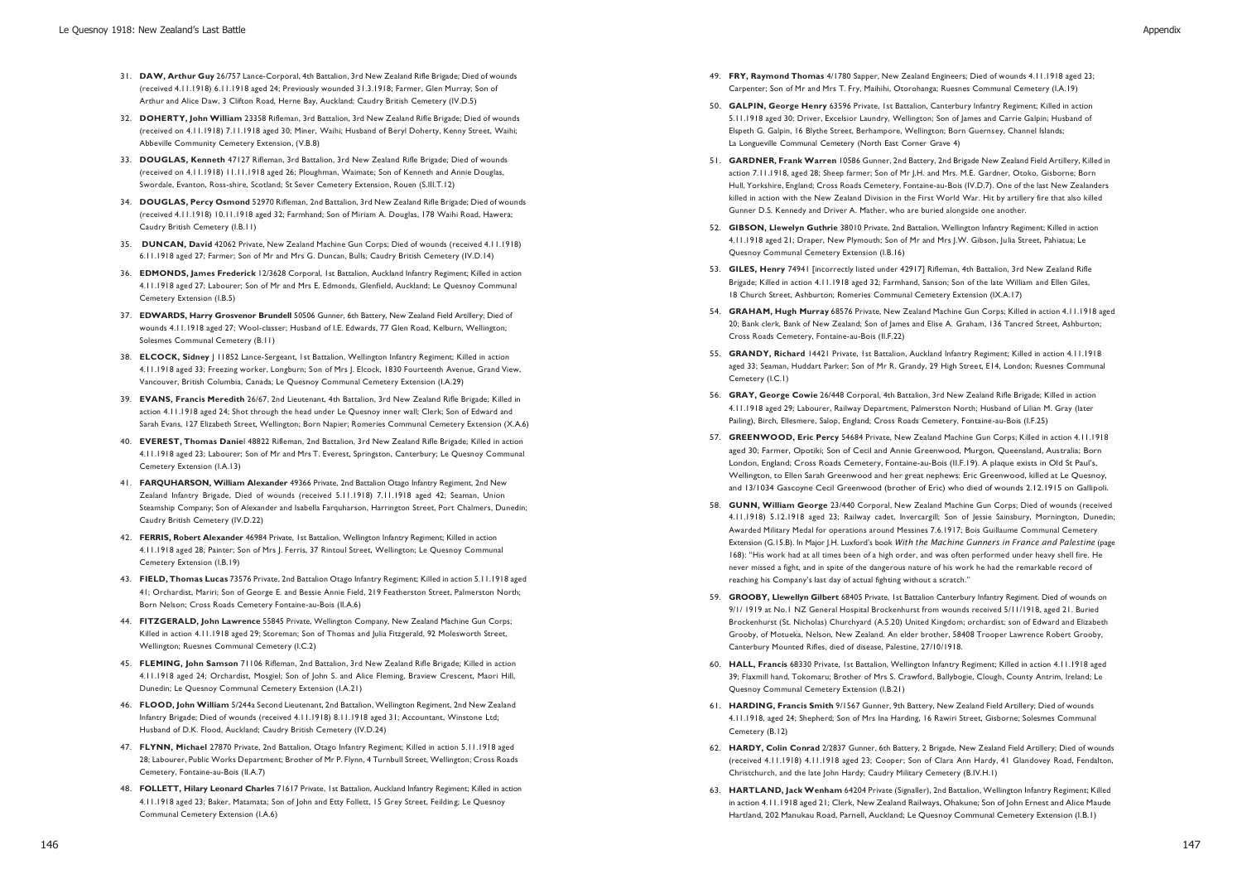- 31. **DAW, Arthur Guy** 26/757 Lance-Corporal, 4th Battalion, 3rd New Zealand Rifle Brigade; Died of wounds (received 4.11.1918) 6.11.1918 aged 24; Previously wounded 31.3.1918; Farmer, Glen Murray; Son of Arthur and Alice Daw, 3 Clifton Road, Herne Bay, Auckland; Caudry British Cemetery (IV.D.5)
- 32. **DOHERTY, John William** 23358 Rifleman, 3rd Battalion, 3rd New Zealand Rifle Brigade; Died of wounds (received on 4.11.1918) 7.11.1918 aged 30; Miner, Waihi; Husband of Beryl Doherty, Kenny Street, Waihi; Abbeville Community Cemetery Extension, (V.B.8)
- 33. **DOUGLAS, Kenneth** 47127 Rifleman, 3rd Battalion, 3rd New Zealand Rifle Brigade; Died of wounds (received on 4.11.1918) 11.11.1918 aged 26; Ploughman, Waimate; Son of Kenneth and Annie Douglas, Swordale, Evanton, Ross-shire, Scotland; St Sever Cemetery Extension, Rouen (S.III.T.12)
- 34. **DOUGLAS, Percy Osmond** 52970 Rifleman, 2nd Battalion, 3rd New Zealand Rifle Brigade; Died of wounds (received 4.11.1918) 10.11.1918 aged 32; Farmhand; Son of Miriam A. Douglas, 178 Waihi Road, Hawera; Caudry British Cemetery (I.B.11)
- 35. **DUNCAN, David** 42062 Private, New Zealand Machine Gun Corps; Died of wounds (received 4.11.1918) 6.11.1918 aged 27; Farmer; Son of Mr and Mrs G. Duncan, Bulls; Caudry British Cemetery (IV.D.14)
- 36. **EDMONDS, James Frederick** 12/3628 Corporal, 1st Battalion, Auckland Infantry Regiment; Killed in action 4.11.1918 aged 27; Labourer; Son of Mr and Mrs E. Edmonds, Glenfield, Auckland; Le Quesnoy Communal Cemetery Extension (I.B.5)
- 37. **EDWARDS, Harry Grosvenor Brundell** 50506 Gunner, 6th Battery, New Zealand Field Artillery; Died of wounds 4.11.1918 aged 27; Wool-classer; Husband of I.E. Edwards, 77 Glen Road, Kelburn, Wellington; Solesmes Communal Cemetery (B.11)
- 38. **ELCOCK, Sidney** J 11852 Lance-Sergeant, 1st Battalion, Wellington Infantry Regiment; Killed in action 4.11.1918 aged 33; Freezing worker, Longburn; Son of Mrs J. Elcock, 1830 Fourteenth Avenue, Grand View, Vancouver, British Columbia, Canada; Le Quesnoy Communal Cemetery Extension (I.A.29)
- 39. **EVANS, Francis Meredith** 26/67, 2nd Lieutenant, 4th Battalion, 3rd New Zealand Rifle Brigade; Killed in action 4.11.1918 aged 24; Shot through the head under Le Quesnoy inner wall; Clerk; Son of Edward and Sarah Evans, 127 Elizabeth Street, Wellington; Born Napier; Romeries Communal Cemetery Extension (X.A.6)
- 40. **EVEREST, Thomas Danie**l 48822 Rifleman, 2nd Battalion, 3rd New Zealand Rifle Brigade; Killed in action 4.11.1918 aged 23; Labourer; Son of Mr and Mrs T. Everest, Springston, Canterbury; Le Quesnoy Communal Cemetery Extension (I.A.13)
- 41. **FARQUHARSON, William Alexander** 49366 Private, 2nd Battalion Otago Infantry Regiment, 2nd New Zealand Infantry Brigade, Died of wounds (received 5.11.1918) 7.11.1918 aged 42; Seaman, Union Steamship Company; Son of Alexander and Isabella Farquharson, Harrington Street, Port Chalmers, Dunedin; Caudry British Cemetery (IV.D.22)
- 42. **FERRIS, Robert Alexander** 46984 Private, 1st Battalion, Wellington Infantry Regiment; Killed in action 4.11.1918 aged 28; Painter; Son of Mrs J. Ferris, 37 Rintoul Street, Wellington; Le Quesnoy Communal Cemetery Extension (I.B.19)
- 43. **FIELD, Thomas Lucas** 73576 Private, 2nd Battalion Otago Infantry Regiment; Killed in action 5.11.1918 aged 41; Orchardist, Mariri; Son of George E. and Bessie Annie Field, 219 Featherston Street, Palmerston North; Born Nelson; Cross Roads Cemetery Fontaine-au-Bois (II.A.6)
- 44. **FITZGERALD, John Lawrence** 55845 Private, Wellington Company, New Zealand Machine Gun Corps; Killed in action 4.11.1918 aged 29; Storeman; Son of Thomas and Julia Fitzgerald, 92 Molesworth Street, Wellington; Ruesnes Communal Cemetery (I.C.2)
- 45. **FLEMING, John Samson** 71106 Rifleman, 2nd Battalion, 3rd New Zealand Rifle Brigade; Killed in action 4.11.1918 aged 24; Orchardist, Mosgiel; Son of John S. and Alice Fleming, Braview Crescent, Maori Hill, Dunedin; Le Quesnoy Communal Cemetery Extension (I.A.21)
- 46. **FLOOD, John William** 5/244a Second Lieutenant, 2nd Battalion, Wellington Regiment, 2nd New Zealand Infantry Brigade; Died of wounds (received 4.11.1918) 8.11.1918 aged 31; Accountant, Winstone Ltd; Husband of D.K. Flood, Auckland; Caudry British Cemetery (IV.D.24)
- 47. **FLYNN, Michael** 27870 Private, 2nd Battalion, Otago Infantry Regiment; Killed in action 5.11.1918 aged 28; Labourer, Public Works Department; Brother of Mr P. Flynn, 4 Turnbull Street, Wellington; Cross Roads Cemetery, Fontaine-au-Bois (II.A.7)
- 48. **FOLLETT, Hilary Leonard Charles** 71617 Private, 1st Battalion, Auckland Infantry Regiment; Killed in action 4.11.1918 aged 23; Baker, Matamata; Son of John and Etty Follett, 15 Grey Street, Feildin g; Le Quesnoy Communal Cemetery Extension (I.A.6)
- 49. **FRY, Raymond Thomas** 4/1780 Sapper, New Zealand Engineers; Died of wounds 4.11.1918 aged 23; Carpenter; Son of Mr and Mrs T. Fry, Maihihi, Otorohanga; Ruesnes Communal Cemetery (I.A.19)
- 50. **GALPIN, George Henry** 63596 Private, 1st Battalion, Canterbury Infantry Regiment; Killed in action 5.11.1918 aged 30; Driver, Excelsior Laundry, Wellington; Son of James and Carrie Galpin; Husband of Elspeth G. Galpin, 16 Blythe Street, Berhampore, Wellington; Born Guernsey, Channel Islands; La Longueville Communal Cemetery (North East Corner Grave 4)
- 51. **GARDNER, Frank Warren** 10586 Gunner, 2nd Battery, 2nd Brigade New Zealand Field Artillery, Killed in action 7.11.1918, aged 28; Sheep farmer; Son of Mr J.H. and Mrs. M.E. Gardner, Otoko, Gisborne; Born Hull, Yorkshire, England; Cross Roads Cemetery, Fontaine-au-Bois (IV.D.7). One of the last New Zealanders killed in action with the New Zealand Division in the First World War. Hit by artillery fire that also killed Gunner D.S. Kennedy and Driver A. Mather, who are buried alongside one another.
- 52. **GIBSON, Llewelyn Guthrie** 38010 Private, 2nd Battalion, Wellington Infantry Regiment; Killed in action 4.11.1918 aged 21; Draper, New Plymouth; Son of Mr and Mrs J.W. Gibson, Julia Street, Pahiatua; Le Quesnoy Communal Cemetery Extension (I.B.16)
- 53. **GILES, Henry** 74941 [incorrectly listed under 42917] Rifleman, 4th Battalion, 3rd New Zealand Rifle Brigade; Killed in action 4.11.1918 aged 32; Farmhand, Sanson; Son of the late William and Ellen Giles, 18 Church Street, Ashburton; Romeries Communal Cemetery Extension (IX.A.17)
- 54. **GRAHAM, Hugh Murray** 68576 Private, New Zealand Machine Gun Corps; Killed in action 4.11.1918 aged 20; Bank clerk, Bank of New Zealand; Son of James and Elise A. Graham, 136 Tancred Street, Ashburton; Cross Roads Cemetery, Fontaine-au-Bois (II.F.22)
- 55. **GRANDY, Richard** 14421 Private, 1st Battalion, Auckland Infantry Regiment; Killed in action 4.11.1918 aged 33; Seaman, Huddart Parker; Son of Mr R. Grandy, 29 High Street, E14, London; Ruesnes Communal Cemetery (I.C.1)
- 56. **GRAY, George Cowie** 26/448 Corporal, 4th Battalion, 3rd New Zealand Rifle Brigade; Killed in action 4.11.1918 aged 29; Labourer, Railway Department, Palmerston North; Husband of Lilian M. Gray (later Pailing), Birch, Ellesmere, Salop, England; Cross Roads Cemetery, Fontaine-au-Bois (I.F.25)
- 57. **GREENWOOD, Eric Percy** 54684 Private, New Zealand Machine Gun Corps; Killed in action 4.11.1918 aged 30; Farmer, Opotiki; Son of Cecil and Annie Greenwood, Murgon, Queensland, Australia; Born London, England; Cross Roads Cemetery, Fontaine-au-Bois (II.F.19). A plaque exists in Old St Paul's, Wellington, to Ellen Sarah Greenwood and her great nephews: Eric Greenwood, killed at Le Quesnoy, and 13/1034 Gascoyne Cecil Greenwood (brother of Eric) who died of wounds 2.12.1915 on Gallipoli.
- 58. **GUNN, William George** 23/440 Corporal, New Zealand Machine Gun Corps; Died of wounds (received 4.11.1918) 5.12.1918 aged 23; Railway cadet, Invercargill; Son of Jessie Sainsbury, Mornington, Dunedin; Awarded Military Medal for operations around Messines 7.6.1917; Bois Guillaume Communal Cemetery Extension (G.15.B). In Major J.H. Luxford's book *With the Machine Gunners in France and Palestine* (page 168): "His work had at all times been of a high order, and was often performed under heavy shell fire. He never missed a fight, and in spite of the dangerous nature of his work he had the remarkable record of reaching his Company's last day of actual fighting without a scratch."
- 59. **GROOBY, Llewellyn Gilbert** 68405 Private, 1st Battalion Canterbury Infantry Regiment. Died of wounds on 9/1/ 1919 at No.1 NZ General Hospital Brockenhurst from wounds received 5/11/1918, aged 21. Buried Brockenhurst (St. Nicholas) Churchyard (A.5.20) United Kingdom; orchardist; son of Edward and Elizabeth Grooby, of Motueka, Nelson, New Zealand. An elder brother, 58408 Trooper Lawrence Robert Grooby, Canterbury Mounted Rifles, died of disease, Palestine, 27/10/1918.
- 60. **HALL, Francis** 68330 Private, 1st Battalion, Wellington Infantry Regiment; Killed in action 4.11.1918 aged 39; Flaxmill hand, Tokomaru; Brother of Mrs S. Crawford, Ballybogie, Clough, County Antrim, Ireland; Le Quesnoy Communal Cemetery Extension (I.B.21)
- 61. **HARDING, Francis Smith** 9/1567 Gunner, 9th Battery, New Zealand Field Artillery; Died of wounds 4.11.1918, aged 24; Shepherd; Son of Mrs Ina Harding, 16 Rawiri Street, Gisborne; Solesmes Communal Cemetery (B.12)
- 62. **HARDY, Colin Conrad** 2/2837 Gunner, 6th Battery, 2 Brigade, New Zealand Field Artillery; Died of wounds (received 4.11.1918) 4.11.1918 aged 23; Cooper; Son of Clara Ann Hardy, 41 Glandovey Road, Fendalton, Christchurch, and the late John Hardy; Caudry Military Cemetery (B.IV.H.1)
- 63. **HARTLAND, Jack Wenham** 64204 Private (Signaller), 2nd Battalion, Wellington Infantry Regiment; Killed in action 4.11.1918 aged 21; Clerk, New Zealand Railways, Ohakune; Son of John Ernest and Alice Maude Hartland, 202 Manukau Road, Parnell, Auckland; Le Quesnoy Communal Cemetery Extension (I.B.1)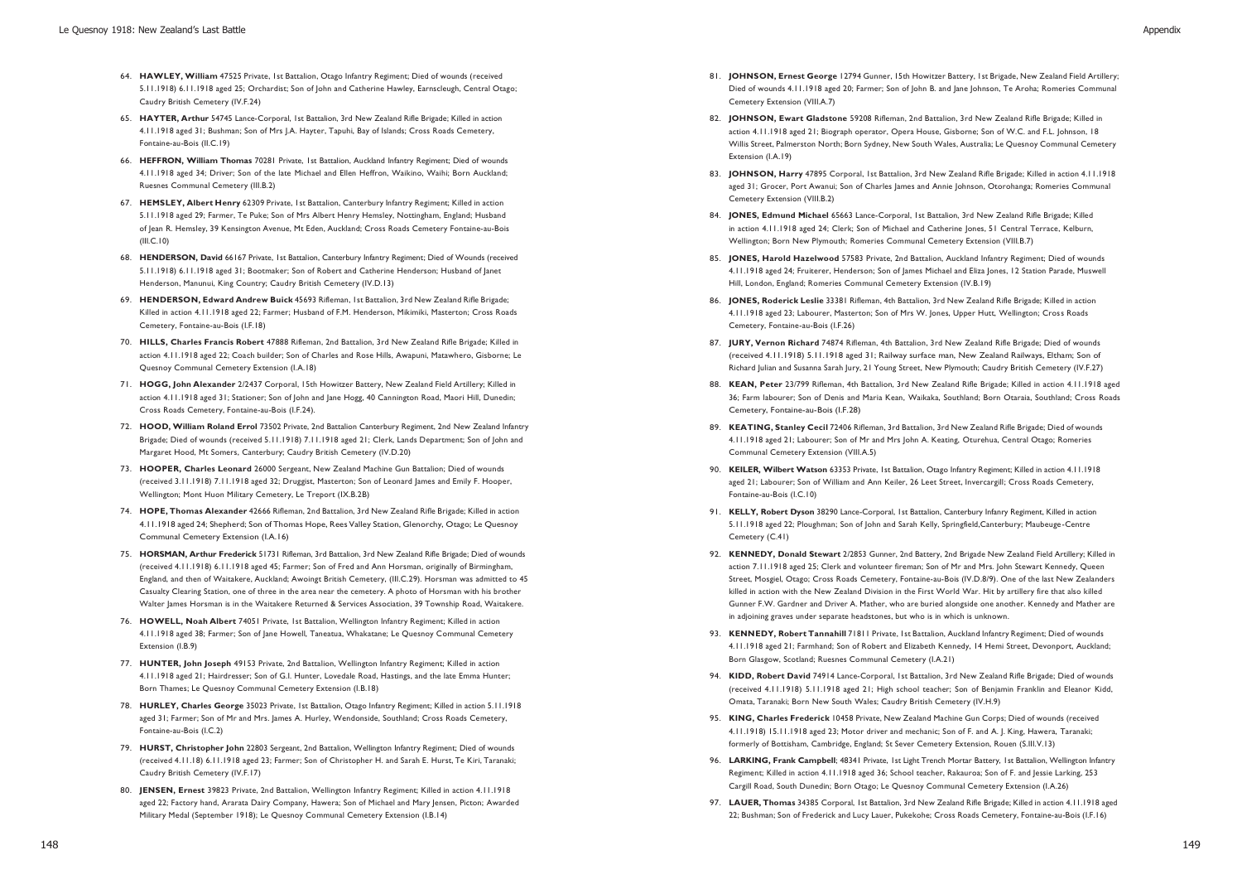- 64. **HAWLEY, William** 47525 Private, 1st Battalion, Otago Infantry Regiment; Died of wounds (received 5.11.1918) 6.11.1918 aged 25; Orchardist; Son of John and Catherine Hawley, Earnscleugh, Central Otago; Caudry British Cemetery (IV.F.24)
- 65. **HAYTER, Arthur** 54745 Lance-Corporal, 1st Battalion, 3rd New Zealand Rifle Brigade; Killed in action 4.11.1918 aged 31; Bushman; Son of Mrs J.A. Hayter, Tapuhi, Bay of Islands; Cross Roads Cemetery, Fontaine-au-Bois (II.C.19)
- 66. **HEFFRON, William Thomas** 70281 Private, 1st Battalion, Auckland Infantry Regiment; Died of wounds 4.11.1918 aged 34; Driver; Son of the late Michael and Ellen Heffron, Waikino, Waihi; Born Auckland; Ruesnes Communal Cemetery (III.B.2)
- 67. **HEMSLEY, Albert Henry** 62309 Private, 1st Battalion, Canterbury Infantry Regiment; Killed in action 5.11.1918 aged 29; Farmer, Te Puke; Son of Mrs Albert Henry Hemsley, Nottingham, England; Husband of Jean R. Hemsley, 39 Kensington Avenue, Mt Eden, Auckland; Cross Roads Cemetery Fontaine-au-Bois (III.C.10)
- 68. **HENDERSON, David** 66167 Private, 1st Battalion, Canterbury Infantry Regiment; Died of Wounds (received 5.11.1918) 6.11.1918 aged 31; Bootmaker; Son of Robert and Catherine Henderson; Husband of Janet Henderson, Manunui, King Country; Caudry British Cemetery (IV.D.13)
- 69. **HENDERSON, Edward Andrew Buick** 45693 Rifleman, 1st Battalion, 3rd New Zealand Rifle Brigade; Killed in action 4.11.1918 aged 22; Farmer; Husband of F.M. Henderson, Mikimiki, Masterton; Cross Roads Cemetery, Fontaine-au-Bois (I.F.18)
- 70. **HILLS, Charles Francis Robert** 47888 Rifleman, 2nd Battalion, 3rd New Zealand Rifle Brigade; Killed in action 4.11.1918 aged 22; Coach builder; Son of Charles and Rose Hills, Awapuni, Matawhero, Gisborne; Le Quesnoy Communal Cemetery Extension (I.A.18)
- 71. **HOGG, John Alexander** 2/2437 Corporal, 15th Howitzer Battery, New Zealand Field Artillery; Killed in action 4.11.1918 aged 31; Stationer; Son of John and Jane Hogg, 40 Cannington Road, Maori Hill, Dunedin; Cross Roads Cemetery, Fontaine-au-Bois (I.F.24).
- 72. **HOOD, William Roland Errol** 73502 Private, 2nd Battalion Canterbury Regiment, 2nd New Zealand Infantry Brigade; Died of wounds (received 5.11.1918) 7.11.1918 aged 21; Clerk, Lands Department; Son of John and Margaret Hood, Mt Somers, Canterbury; Caudry British Cemetery (IV.D.20)
- 73. **HOOPER, Charles Leonard** 26000 Sergeant, New Zealand Machine Gun Battalion; Died of wounds (received 3.11.1918) 7.11.1918 aged 32; Druggist, Masterton; Son of Leonard James and Emily F. Hooper, Wellington; Mont Huon Military Cemetery, Le Treport (IX.B.2B)
- 74. **HOPE, Thomas Alexander** 42666 Rifleman, 2nd Battalion, 3rd New Zealand Rifle Brigade; Killed in action 4.11.1918 aged 24; Shepherd; Son of Thomas Hope, Rees Valley Station, Glenorchy, Otago; Le Quesnoy Communal Cemetery Extension (I.A.16)
- 75. **HORSMAN, Arthur Frederick** 51731 Rifleman, 3rd Battalion, 3rd New Zealand Rifle Brigade; Died of wounds (received 4.11.1918) 6.11.1918 aged 45; Farmer; Son of Fred and Ann Horsman, originally of Birmingham, England, and then of Waitakere, Auckland; Awoingt British Cemetery, (III.C.29). Horsman was admitted to 45 Casualty Clearing Station, one of three in the area near the cemetery. A photo of Horsman with his brother Walter James Horsman is in the Waitakere Returned & Services Association, 39 Township Road, Waitakere.
- 76. **HOWELL, Noah Albert** 74051 Private, 1st Battalion, Wellington Infantry Regiment; Killed in action 4.11.1918 aged 38; Farmer; Son of Jane Howell, Taneatua, Whakatane; Le Quesnoy Communal Cemetery Extension (I.B.9)
- 77. **HUNTER, John Joseph** 49153 Private, 2nd Battalion, Wellington Infantry Regiment; Killed in action 4.11.1918 aged 21; Hairdresser; Son of G.I. Hunter, Lovedale Road, Hastings, and the late Emma Hunter; Born Thames; Le Quesnoy Communal Cemetery Extension (I.B.18)
- 78. **HURLEY, Charles George** 35023 Private, 1st Battalion, Otago Infantry Regiment; Killed in action 5.11.1918 aged 31; Farmer; Son of Mr and Mrs. James A. Hurley, Wendonside, Southland; Cross Roads Cemetery, Fontaine-au-Bois (I.C.2)
- 79. **HURST, Christopher John** 22803 Sergeant, 2nd Battalion, Wellington Infantry Regiment; Died of wounds (received 4.11.18) 6.11.1918 aged 23; Farmer; Son of Christopher H. and Sarah E. Hurst, Te Kiri, Taranaki; Caudry British Cemetery (IV.F.17)
- 80. **JENSEN, Ernest** 39823 Private, 2nd Battalion, Wellington Infantry Regiment; Killed in action 4.11.1918 aged 22; Factory hand, Ararata Dairy Company, Hawera; Son of Michael and Mary Jensen, Picton; Awarded Military Medal (September 1918); Le Quesnoy Communal Cemetery Extension (I.B.14)
- 81. **JOHNSON, Ernest George** 12794 Gunner, 15th Howitzer Battery, 1st Brigade, New Zealand Field Artillery; Died of wounds 4.11.1918 aged 20; Farmer; Son of John B. and Jane Johnson, Te Aroha; Romeries Communal Cemetery Extension (VIII.A.7)
- 82. **JOHNSON, Ewart Gladstone** 59208 Rifleman, 2nd Battalion, 3rd New Zealand Rifle Brigade; Killed in action 4.11.1918 aged 21; Biograph operator, Opera House, Gisborne; Son of W.C. and F.L. Johnson, 18 Willis Street, Palmerston North; Born Sydney, New South Wales, Australia; Le Quesnoy Communal Cemetery Extension (I.A.19)
- 83. **JOHNSON, Harry** 47895 Corporal, 1st Battalion, 3rd New Zealand Rifle Brigade; Killed in action 4.11.1918 aged 31; Grocer, Port Awanui; Son of Charles James and Annie Johnson, Otorohanga; Romeries Communal Cemetery Extension (VIII.B.2)
- 84. **JONES, Edmund Michael** 65663 Lance-Corporal, 1st Battalion, 3rd New Zealand Rifle Brigade; Killed in action 4.11.1918 aged 24; Clerk; Son of Michael and Catherine Jones, 51 Central Terrace, Kelburn, Wellington; Born New Plymouth; Romeries Communal Cemetery Extension (VIII.B.7)
- 85. **JONES, Harold Hazelwood** 57583 Private, 2nd Battalion, Auckland Infantry Regiment; Died of wounds 4.11.1918 aged 24; Fruiterer, Henderson; Son of James Michael and Eliza Jones, 12 Station Parade, Muswell Hill, London, England; Romeries Communal Cemetery Extension (IV.B.19)
- 86. **JONES, Roderick Leslie** 33381 Rifleman, 4th Battalion, 3rd New Zealand Rifle Brigade; Killed in action 4.11.1918 aged 23; Labourer, Masterton; Son of Mrs W. Jones, Upper Hutt, Wellington; Cross Roads Cemetery, Fontaine-au-Bois (I.F.26)
- 87. **JURY, Vernon Richard** 74874 Rifleman, 4th Battalion, 3rd New Zealand Rifle Brigade; Died of wounds (received 4.11.1918) 5.11.1918 aged 31; Railway surface man, New Zealand Railways, Eltham; Son of Richard Julian and Susanna Sarah Jury, 21 Young Street, New Plymouth; Caudry British Cemetery (IV.F.27)
- 88. **KEAN, Peter** 23/799 Rifleman, 4th Battalion, 3rd New Zealand Rifle Brigade; Killed in action 4.11.1918 aged 36; Farm labourer; Son of Denis and Maria Kean, Waikaka, Southland; Born Otaraia, Southland; Cross Roads Cemetery, Fontaine-au-Bois (I.F.28)
- 89. **KEATING, Stanley Cecil** 72406 Rifleman, 3rd Battalion, 3rd New Zealand Rifle Brigade; Died of wounds 4.11.1918 aged 21; Labourer; Son of Mr and Mrs John A. Keating, Oturehua, Central Otago; Romeries Communal Cemetery Extension (VIII.A.5)
- 90. **KEILER, Wilbert Watson** 63353 Private, 1st Battalion, Otago Infantry Regiment; Killed in action 4.11.1918 aged 21; Labourer; Son of William and Ann Keiler, 26 Leet Street, Invercargill; Cross Roads Cemetery, Fontaine-au-Bois (I.C.10)
- 91. **KELLY, Robert Dyson** 38290 Lance-Corporal, 1st Battalion, Canterbury Infanry Regiment, Killed in action 5.11.1918 aged 22; Ploughman; Son of John and Sarah Kelly, Springfield,Canterbury; Maubeuge -Centre Cemetery (C.41)
- 92. **KENNEDY, Donald Stewart** 2/2853 Gunner, 2nd Battery, 2nd Brigade New Zealand Field Artillery; Killed in action 7.11.1918 aged 25; Clerk and volunteer fireman; Son of Mr and Mrs. John Stewart Kennedy, Queen Street, Mosgiel, Otago; Cross Roads Cemetery, Fontaine-au-Bois (IV.D.8/9). One of the last New Zealanders killed in action with the New Zealand Division in the First World War. Hit by artillery fire that also killed Gunner F.W. Gardner and Driver A. Mather, who are buried alongside one another. Kennedy and Mather are in adjoining graves under separate headstones, but who is in which is unknown.
- 93. **KENNEDY, Robert Tannahill** 71811 Private, 1st Battalion, Auckland Infantry Regiment; Died of wounds 4.11.1918 aged 21; Farmhand; Son of Robert and Elizabeth Kennedy, 14 Hemi Street, Devonport, Auckland; Born Glasgow, Scotland; Ruesnes Communal Cemetery (I.A.21)
- 94. **KIDD, Robert David** 74914 Lance-Corporal, 1st Battalion, 3rd New Zealand Rifle Brigade; Died of wounds (received 4.11.1918) 5.11.1918 aged 21; High school teacher; Son of Benjamin Franklin and Eleanor Kidd, Omata, Taranaki; Born New South Wales; Caudry British Cemetery (IV.H.9)
- 95. **KING, Charles Frederick** 10458 Private, New Zealand Machine Gun Corps; Died of wounds (received 4.11.1918) 15.11.1918 aged 23; Motor driver and mechanic; Son of F. and A. J. King, Hawera, Taranaki; formerly of Bottisham, Cambridge, England; St Sever Cemetery Extension, Rouen (S.III.V.13)
- 96. **LARKING, Frank Campbell**; 48341 Private, 1st Light Trench Mortar Battery, 1st Battalion, Wellington Infantry Regiment; Killed in action 4.11.1918 aged 36; School teacher, Rakauroa; Son of F. and Jessie Larking, 253 Cargill Road, South Dunedin; Born Otago; Le Quesnoy Communal Cemetery Extension (I.A.26)
- 97. **LAUER, Thomas** 34385 Corporal, 1st Battalion, 3rd New Zealand Rifle Brigade; Killed in action 4.11.1918 aged 22; Bushman; Son of Frederick and Lucy Lauer, Pukekohe; Cross Roads Cemetery, Fontaine-au-Bois (I.F.16)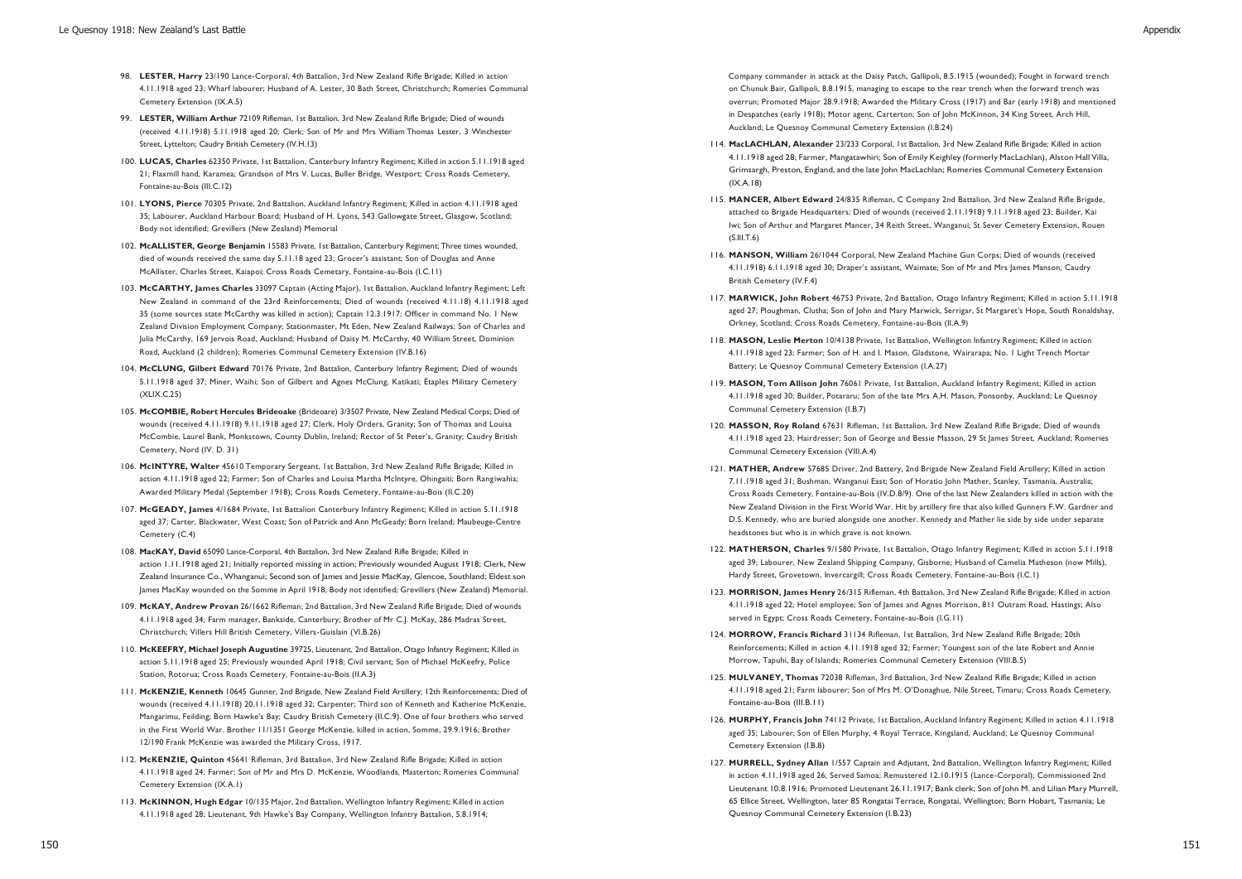- 98. **LESTER, Harry** 23/190 Lance-Corporal, 4th Battalion, 3rd New Zealand Rifle Brigade; Killed in action 4.11.1918 aged 23; Wharf labourer; Husband of A. Lester, 30 Bath Street, Christchurch; Romeries Communal Cemetery Extension (IX.A.5)
- 99. **LESTER, William Arthur** 72109 Rifleman, 1st Battalion, 3rd New Zealand Rifle Brigade; Died of wounds (received 4.11.1918) 5.11.1918 aged 20; Clerk; Son of Mr and Mrs William Thomas Lester, 3 Winchester Street, Lyttelton; Caudry British Cemetery (IV.H.13)
- 100. **LUCAS, Charles** 62350 Private, 1st Battalion, Canterbury Infantry Regiment; Killed in action 5.11.1918 aged 21; Flaxmill hand, Karamea; Grandson of Mrs V. Lucas, Buller Bridge, Westport; Cross Roads Cemetery, Fontaine-au-Bois (III.C.12)
- 101. **LYONS, Pierce** 70305 Private, 2nd Battalion, Auckland Infantry Regiment; Killed in action 4.11.1918 aged 35; Labourer, Auckland Harbour Board; Husband of H. Lyons, 543 Gallowgate Street, Glasgow, Scotland; Body not identified; Grevillers (New Zealand) Memorial
- 102. **McALLISTER, George Benjamin** 15583 Private, 1st Battalion, Canterbury Regiment; Three times wounded, died of wounds received the same day 5.11.18 aged 23; Grocer's assistant; Son of Douglas and Anne McAllister, Charles Street, Kaiapoi; Cross Roads Cemetary, Fontaine-au-Bois (I.C.11)
- 103. **McCARTHY, James Charles** 33097 Captain (Acting Major), 1st Battalion, Auckland Infantry Regiment; Left New Zealand in command of the 23rd Reinforcements; Died of wounds (received 4.11.18) 4.11.1918 aged 35 (some sources state McCarthy was killed in action); Captain 12.3.1917; Officer in command No. 1 New Zealand Division Employment Company; Stationmaster, Mt Eden, New Zealand Railways; Son of Charles and Julia McCarthy, 169 Jervois Road, Auckland; Husband of Daisy M. McCarthy, 40 William Street, Dominion Road, Auckland (2 children); Romeries Communal Cemetery Extension (IV.B.16)
- 104. **McCLUNG, Gilbert Edward** 70176 Private, 2nd Battalion, Canterbury Infantry Regiment; Died of wounds 5.11.1918 aged 37; Miner, Waihi; Son of Gilbert and Agnes McClung, Katikati; Étaples Military Cemetery (XLIX.C.25)
- 105. **McCOMBIE, Robert Hercules Brideoake** (Brideoare) 3/3507 Private, New Zealand Medical Corps; Died of wounds (received 4.11.1918) 9.11.1918 aged 27; Clerk, Holy Orders, Granity; Son of Thomas and Louisa McCombie, Laurel Bank, Monkstown, County Dublin, Ireland; Rector of St Peter's, Granity; Caudry British Cemetery, Nord (IV. D. 31)
- 106. **McINTYRE, Walter** 45610 Temporary Sergeant, 1st Battalion, 3rd New Zealand Rifle Brigade; Killed in action 4.11.1918 aged 22; Farmer; Son of Charles and Louisa Martha McIntyre, Ohingaiti; Born Rangiwahia; Awarded Military Medal (September 1918); Cross Roads Cemetery, Fontaine-au-Bois (II.C.20)
- 107. **McGEADY, James** 4/1684 Private, 1st Battalion Canterbury Infantry Regiment; Killed in action 5.11.1918 aged 37; Carter, Blackwater, West Coast; Son of Patrick and Ann McGeady; Born Ireland; Maubeuge-Centre Cemetery (C.4)
- 108. **MacKAY, David** 65090 Lance-Corporal, 4th Battalion, 3rd New Zealand Rifle Brigade; Killed in action 1.11.1918 aged 21; Initially reported missing in action; Previously wounded August 1918; Clerk, New Zealand Insurance Co., Whanganui; Second son of James and Jessie MacKay, Glencoe, Southland; Eldest son James MacKay wounded on the Somme in April 1918; Body not identified; Grevillers (New Zealand) Memorial.
- 109. **McKAY, Andrew Provan** 26/1662 Rifleman; 2nd Battalion, 3rd New Zealand Rifle Brigade; Died of wounds 4.11.1918 aged 34; Farm manager, Bankside, Canterbury; Brother of Mr C.J. McKay, 286 Madras Street, Christchurch; Villers Hill British Cemetery, Villers-Guislain (VI.B.26)
- 110. **McKEEFRY, Michael Joseph Augustine** 39725, Lieutenant, 2nd Battalion, Otago Infantry Regiment; Killed in action 5.11.1918 aged 25; Previously wounded April 1918; Civil servant; Son of Michael McKeefry, Police Station, Rotorua; Cross Roads Cemetery, Fontaine-au-Bois (II.A.3)
- 111. **McKENZIE, Kenneth** 10645 Gunner, 2nd Brigade, New Zealand Field Artillery; 12th Reinforcements; Died of wounds (received 4.11.1918) 20.11.1918 aged 32; Carpenter; Third son of Kenneth and Katherine McKenzie, Mangarimu, Feilding; Born Hawke's Bay; Caudry British Cemetery (II.C.9). One of four brothers who served in the First World War. Brother 11/1351 George McKenzie, killed in action, Somme, 29.9.1916; Brother 12/190 Frank McKenzie was awarded the Military Cross, 1917.
- 112. **McKENZIE, Quinton** 45641 Rifleman, 3rd Battalion, 3rd New Zealand Rifle Brigade; Killed in action 4.11.1918 aged 24; Farmer; Son of Mr and Mrs D. McKenzie, Woodlands, Masterton; Romeries Communal Cemetery Extension (IX.A.1)
- 113. **McKINNON, Hugh Edgar** 10/135 Major, 2nd Battalion, Wellington Infantry Regiment; Killed in action 4.11.1918 aged 28; Lieutenant, 9th Hawke's Bay Company, Wellington Infantry Battalion, 5.8.1914;

Company commander in attack at the Daisy Patch, Gallipoli, 8.5.1915 (wounded); Fought in forward tre nch on Chunuk Bair, Gallipoli, 8.8.1915, managing to escape to the rear trench when the forward trench was overrun; Promoted Major 28.9.1918; Awarded the Military Cross (1917) and Bar (early 1918) and mentioned in Despatches (early 1918); Motor agent, Carterton; Son of John McKinnon, 34 King Street, Arch Hill, Auckland; Le Quesnoy Communal Cemetery Extension (I.B.24)

- 114. **MacLACHLAN, Alexander** 23/233 Corporal, 1st Battalion, 3rd New Zealand Rifle Brigade; Killed in action 4.11.1918 aged 28; Farmer, Mangatawhiri; Son of Emily Keighley (formerly MacLachlan), Alston Hall Villa, Grimsargh, Preston, England, and the late John MacLachlan; Romeries Communal Cemetery Extension (IX.A.18)
- 115. **MANCER, Albert Edward** 24/835 Rifleman, C Company 2nd Battalion, 3rd New Zealand Rifle Brigade, attached to Brigade Headquarters; Died of wounds (received 2.11.1918) 9.11.1918 aged 23; Builder, Kai Iwi; Son of Arthur and Margaret Mancer, 34 Reith Street, Wanganui; St Sever Cemetery Extension, Rouen  $(S.III.T.6)$
- 116. **MANSON, William** 26/1044 Corporal, New Zealand Machine Gun Corps; Died of wounds (received 4.11.1918) 6.11.1918 aged 30; Draper's assistant, Waimate; Son of Mr and Mrs James Manson; Caudry British Cemetery (IV.F.4)
- 117. **MARWICK, John Robert** 46753 Private, 2nd Battalion, Otago Infantry Regiment; Killed in action 5.11.1918 aged 27; Ploughman, Clutha; Son of John and Mary Marwick, Serrigar, St Margaret's Hope, South Ronaldshay, Orkney, Scotland; Cross Roads Cemetery, Fontaine-au-Bois (II.A.9)
- 118. **MASON, Leslie Merton** 10/4138 Private, 1st Battalion, Wellington Infantry Regiment; Killed in action 4.11.1918 aged 23; Farmer; Son of H. and I. Mason, Gladstone, Wairarapa; No. 1 Light Trench Mortar Battery; Le Quesnoy Communal Cemetery Extension (I.A.27)
- 119. **MASON, Tom Allison John** 76061 Private, 1st Battalion, Auckland Infantry Regiment; Killed in action 4.11.1918 aged 30; Builder, Potararu; Son of the late Mrs A.H. Mason, Ponsonby, Auckland; Le Quesnoy Communal Cemetery Extension (I.B.7)
- 120. **MASSON, Roy Roland** 67631 Rifleman, 1st Battalion, 3rd New Zealand Rifle Brigade; Died of wounds 4.11.1918 aged 23; Hairdresser; Son of George and Bessie Masson, 29 St James Street, Auckland; Romeries Communal Cemetery Extension (VIII.A.4)
- 121. **MATHER, Andrew** 57685 Driver, 2nd Battery, 2nd Brigade New Zealand Field Artillery; Killed in action 7.11.1918 aged 31; Bushman, Wanganui East; Son of Horatio John Mather, Stanley, Tasmania, Australia; Cross Roads Cemetery, Fontaine-au-Bois (IV.D.8/9). One of the last New Zealanders killed in action with the New Zealand Division in the First World War. Hit by artillery fire that also killed Gunners F.W. Gardner and D.S. Kennedy, who are buried alongside one another. Kennedy and Mather lie side by side under separate headstones but who is in which grave is not known.
- 122. **MATHERSON, Charles** 9/1580 Private, 1st Battalion, Otago Infantry Regiment; Killed in action 5.11.1918 aged 39; Labourer, New Zealand Shipping Company, Gisborne; Husband of Camelia Matheson (now Mills), Hardy Street, Grovetown, Invercargill; Cross Roads Cemetery, Fontaine-au-Bois (I.C.1)
- 123. **MORRISON, James Henry** 26/315 Rifleman, 4th Battalion, 3rd New Zealand Rifle Brigade; Killed in action 4.11.1918 aged 22; Hotel employee; Son of James and Agnes Morrison, 811 Outram Road, Hastings; Also served in Egypt; Cross Roads Cemetery, Fontaine-au-Bois (I.G.11)
- 124. **MORROW, Francis Richard** 31134 Rifleman, 1st Battalion, 3rd New Zealand Rifle Brigade; 20th Reinforcements; Killed in action 4.11.1918 aged 32; Farmer; Youngest son of the late Robert and Annie Morrow, Tapuhi, Bay of Islands; Romeries Communal Cemetery Extension (VIII.B.5)
- 125. **MULVANEY, Thomas** 72038 Rifleman, 3rd Battalion, 3rd New Zealand Rifle Brigade; Killed in action 4.11.1918 aged 21; Farm labourer; Son of Mrs M. O'Donaghue, Nile Street, Timaru; Cross Roads Cemetery, Fontaine-au-Bois (III.B.11)
- 126. **MURPHY, Francis John** 74112 Private, 1st Battalion, Auckland Infantry Regiment; Killed in action 4.11.1918 aged 35; Labourer; Son of Ellen Murphy, 4 Royal Terrace, Kingsland, Auckland; Le Quesnoy Communal Cemetery Extension (I.B.8)
- 127. **MURRELL, Sydney Allan** 1/557 Captain and Adjutant, 2nd Battalion, Wellington Infantry Regiment; Killed in action 4.11.1918 aged 26; Served Samoa; Remustered 12.10.1915 (Lance-Corporal); Commissioned 2nd Lieutenant 10.8.1916; Promoted Lieutenant 26.11.1917; Bank clerk; Son of John M. and Lilian Mary Murrell, 65 Ellice Street, Wellington, later 85 Rongatai Terrace, Rongatai, Wellington; Born Hobart, Tasmania; Le Quesnoy Communal Cemetery Extension (I.B.23)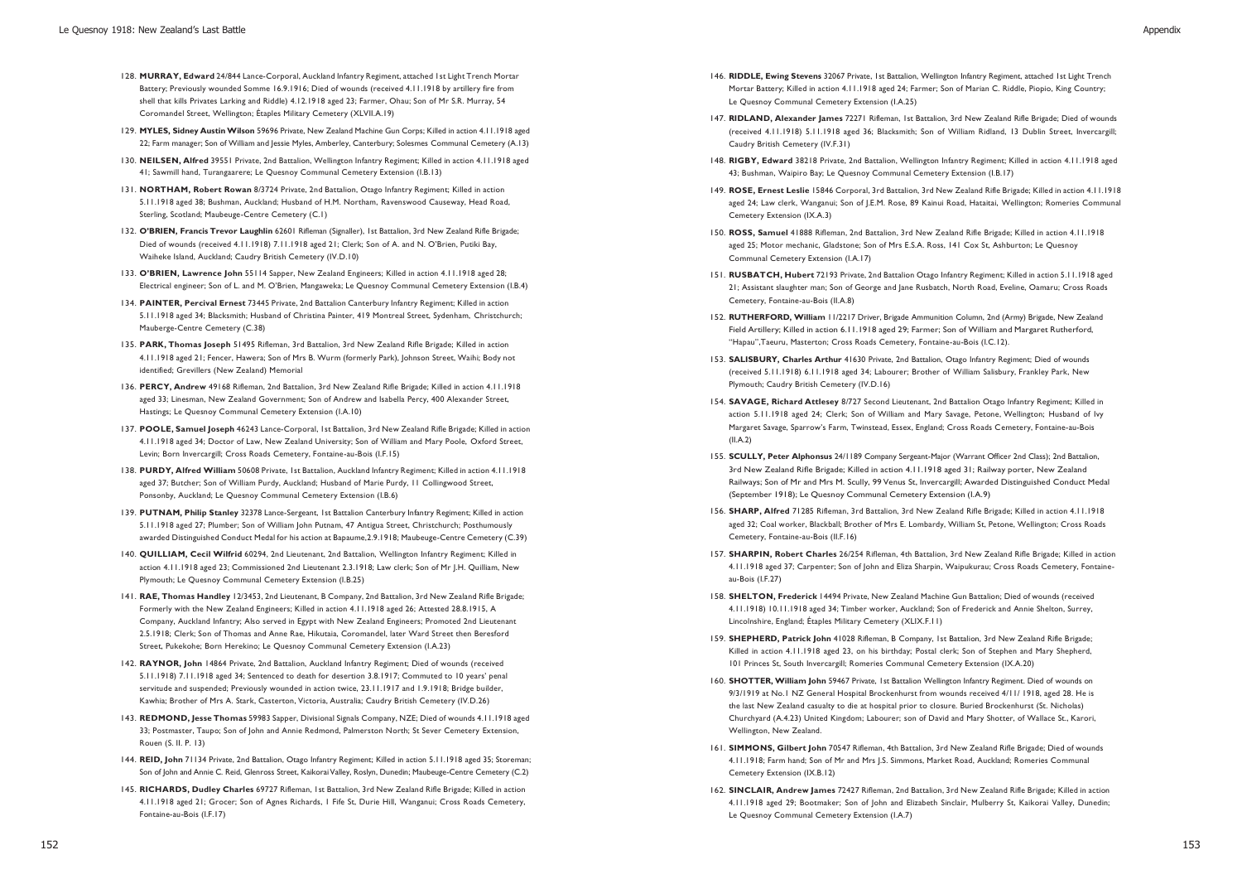- 128. **MURRAY, Edward** 24/844 Lance-Corporal, Auckland Infantry Regiment, attached 1st Light Trench Mortar Battery; Previously wounded Somme 16.9.1916; Died of wounds (received 4.11.1918 by artillery fire from shell that kills Privates Larking and Riddle) 4.12.1918 aged 23; Farmer, Ohau; Son of Mr S.R. Murray, 54 Coromandel Street, Wellington; Étaples Military Cemetery (XLVII.A.19)
- 129. **MYLES, Sidney Austin Wilson** 59696 Private, New Zealand Machine Gun Corps; Killed in action 4.11.1918 aged 22; Farm manager; Son of William and Jessie Myles, Amberley, Canterbury; Solesmes Communal Cemetery (A.13)
- 130. **NEILSEN, Alfred** 39551 Private, 2nd Battalion, Wellington Infantry Regiment; Killed in action 4.11.1918 aged 41; Sawmill hand, Turangaarere; Le Quesnoy Communal Cemetery Extension (I.B.13)
- 131. **NORTHAM, Robert Rowan** 8/3724 Private, 2nd Battalion, Otago Infantry Regiment; Killed in action 5.11.1918 aged 38; Bushman, Auckland; Husband of H.M. Northam, Ravenswood Causeway, Head Road, Sterling, Scotland; Maubeuge-Centre Cemetery (C.1)
- 132. **O'BRIEN, Francis Trevor Laughlin** 62601 Rifleman (Signaller), 1st Battalion, 3rd New Zealand Rifle Brigade; Died of wounds (received 4.11.1918) 7.11.1918 aged 21; Clerk; Son of A. and N. O'Brien, Putiki Bay, Waiheke Island, Auckland; Caudry British Cemetery (IV.D.10)
- 133. **O'BRIEN, Lawrence John** 55114 Sapper, New Zealand Engineers; Killed in action 4.11.1918 aged 28; Electrical engineer; Son of L. and M. O'Brien, Mangaweka; Le Quesnoy Communal Cemetery Extension (I.B.4)
- 134. **PAINTER, Percival Ernest** 73445 Private, 2nd Battalion Canterbury Infantry Regiment; Killed in action 5.11.1918 aged 34; Blacksmith; Husband of Christina Painter, 419 Montreal Street, Sydenham, Christchurch; Mauberge-Centre Cemetery (C.38)
- 135. **PARK, Thomas Joseph** 51495 Rifleman, 3rd Battalion, 3rd New Zealand Rifle Brigade; Killed in action 4.11.1918 aged 21; Fencer, Hawera; Son of Mrs B. Wurm (formerly Park), Johnson Street, Waihi; Body not identified; Grevillers (New Zealand) Memorial
- 136. **PERCY, Andrew** 49168 Rifleman, 2nd Battalion, 3rd New Zealand Rifle Brigade; Killed in action 4.11.1918 aged 33; Linesman, New Zealand Government; Son of Andrew and Isabella Percy, 400 Alexander Street, Hastings; Le Quesnoy Communal Cemetery Extension (I.A.10)
- 137. **POOLE, Samuel Joseph** 46243 Lance-Corporal, 1st Battalion, 3rd New Zealand Rifle Brigade; Killed in action 4.11.1918 aged 34; Doctor of Law, New Zealand University; Son of William and Mary Poole, Oxford Street, Levin; Born Invercargill; Cross Roads Cemetery, Fontaine-au-Bois (I.F.15)
- 138. **PURDY, Alfred William** 50608 Private, 1st Battalion, Auckland Infantry Regiment; Killed in action 4.11.1918 aged 37; Butcher; Son of William Purdy, Auckland; Husband of Marie Purdy, 11 Collingwood Street, Ponsonby, Auckland; Le Quesnoy Communal Cemetery Extension (I.B.6)
- 139. **PUTNAM, Philip Stanley** 32378 Lance-Sergeant, 1st Battalion Canterbury Infantry Regiment; Killed in action 5.11.1918 aged 27; Plumber; Son of William John Putnam, 47 Antigua Street, Christchurch; Posthumously awarded Distinguished Conduct Medal for his action at Bapaume,2.9.1918; Maubeuge-Centre Cemetery (C.39)
- 140. **QUILLIAM, Cecil Wilfrid** 60294, 2nd Lieutenant, 2nd Battalion, Wellington Infantry Regiment; Killed in action 4.11.1918 aged 23; Commissioned 2nd Lieutenant 2.3.1918; Law clerk; Son of Mr J.H. Quilliam, New Plymouth; Le Quesnoy Communal Cemetery Extension (I.B.25)
- 141. **RAE, Thomas Handley** 12/3453, 2nd Lieutenant, B Company, 2nd Battalion, 3rd New Zealand Rifle Brigade; Formerly with the New Zealand Engineers; Killed in action 4.11.1918 aged 26; Attested 28.8.1915, A Company, Auckland Infantry; Also served in Egypt with New Zealand Engineers; Promoted 2nd Lieutenant 2.5.1918; Clerk; Son of Thomas and Anne Rae, Hikutaia, Coromandel, later Ward Street then Beresford Street, Pukekohe; Born Herekino; Le Quesnoy Communal Cemetery Extension (I.A.23)
- 142. **RAYNOR, John** 14864 Private, 2nd Battalion, Auckland Infantry Regiment; Died of wounds (received 5.11.1918) 7.11.1918 aged 34; Sentenced to death for desertion 3.8.1917; Commuted to 10 years' penal servitude and suspended; Previously wounded in action twice, 23.11.1917 and 1.9.1918; Bridge builder, Kawhia; Brother of Mrs A. Stark, Casterton, Victoria, Australia; Caudry British Cemetery (IV.D.26)
- 143. **REDMOND, Jesse Thomas** 59983 Sapper, Divisional Signals Company, NZE; Died of wounds 4.11.1918 aged 33; Postmaster, Taupo; Son of John and Annie Redmond, Palmerston North; St Sever Cemetery Extension, Rouen (S. II. P. 13)
- 144. **REID, John** 71134 Private, 2nd Battalion, Otago Infantry Regiment; Killed in action 5.11.1918 aged 35; Storeman; Son of John and Annie C. Reid, Glenross Street, Kaikorai Valley, Roslyn, Dunedin; Maubeuge-Centre Cemetery (C.2)
- 145. **RICHARDS, Dudley Charles** 69727 Rifleman, 1st Battalion, 3rd New Zealand Rifle Brigade; Killed in action 4.11.1918 aged 21; Grocer; Son of Agnes Richards, 1 Fife St, Durie Hill, Wanganui; Cross Roads Cemetery, Fontaine-au-Bois (I.F.17)
- 146. **RIDDLE, Ewing Stevens** 32067 Private, 1st Battalion, Wellington Infantry Regiment, attached 1st Light Trench Mortar Battery; Killed in action 4.11.1918 aged 24; Farmer; Son of Marian C. Riddle, Piopio, King Country; Le Quesnoy Communal Cemetery Extension (I.A.25)
- 147. **RIDLAND, Alexander James** 72271 Rifleman, 1st Battalion, 3rd New Zealand Rifle Brigade; Died of wounds (received 4.11.1918) 5.11.1918 aged 36; Blacksmith; Son of William Ridland, 13 Dublin Street, Invercargill; Caudry British Cemetery (IV.F.31)
- 148. **RIGBY, Edward** 38218 Private, 2nd Battalion, Wellington Infantry Regiment; Killed in action 4.11.1918 aged 43; Bushman, Waipiro Bay; Le Quesnoy Communal Cemetery Extension (I.B.17)
- 149. **ROSE, Ernest Leslie** 15846 Corporal, 3rd Battalion, 3rd New Zealand Rifle Brigade; Killed in action 4.11.1918 aged 24; Law clerk, Wanganui; Son of J.E.M. Rose, 89 Kainui Road, Hataitai, Wellington; Romeries Communal Cemetery Extension (IX.A.3)
- 150. **ROSS, Samuel** 41888 Rifleman, 2nd Battalion, 3rd New Zealand Rifle Brigade; Killed in action 4.11.1918 aged 25; Motor mechanic, Gladstone; Son of Mrs E.S.A. Ross, 141 Cox St, Ashburton; Le Quesnoy Communal Cemetery Extension (I.A.17)
- 151. **RUSBATCH, Hubert** 72193 Private, 2nd Battalion Otago Infantry Regiment; Killed in action 5.11.1918 aged 21; Assistant slaughter man; Son of George and Jane Rusbatch, North Road, Eveline, Oamaru; Cross Roads Cemetery, Fontaine-au-Bois (II.A.8)
- 152. **RUTHERFORD, William** 11/2217 Driver, Brigade Ammunition Column, 2nd (Army) Brigade, New Zealand Field Artillery; Killed in action 6.11.1918 aged 29; Farmer; Son of William and Margaret Rutherford, "Hapau",Taeuru, Masterton; Cross Roads Cemetery, Fontaine-au-Bois (I.C.12).
- 153. **SALISBURY, Charles Arthur** 41630 Private, 2nd Battalion, Otago Infantry Regiment; Died of wounds (received 5.11.1918) 6.11.1918 aged 34; Labourer; Brother of William Salisbury, Frankley Park, New Plymouth; Caudry British Cemetery (IV.D.16)
- 154. **SAVAGE, Richard Attlesey** 8/727 Second Lieutenant, 2nd Battalion Otago Infantry Regiment; Killed in action 5.11.1918 aged 24; Clerk; Son of William and Mary Savage, Petone, Wellington; Husband of Ivy Margaret Savage, Sparrow's Farm, Twinstead, Essex, England; Cross Roads Cemetery, Fontaine-au-Bois  $(II.A.2)$
- 155. **SCULLY, Peter Alphonsus** 24/1189 Company Sergeant-Major (Warrant Officer 2nd Class); 2nd Battalion, 3rd New Zealand Rifle Brigade; Killed in action 4.11.1918 aged 31; Railway porter, New Zealand Railways; Son of Mr and Mrs M. Scully, 99 Venus St, Invercargill; Awarded Distinguished Conduct Medal (September 1918); Le Quesnoy Communal Cemetery Extension (I.A.9)
- 156. **SHARP, Alfred** 71285 Rifleman, 3rd Battalion, 3rd New Zealand Rifle Brigade; Killed in action 4.11.1918 aged 32; Coal worker, Blackball; Brother of Mrs E. Lombardy, William St, Petone, Wellington; Cross Roads Cemetery, Fontaine-au-Bois (II.F.16)
- 157. **SHARPIN, Robert Charles** 26/254 Rifleman, 4th Battalion, 3rd New Zealand Rifle Brigade; Killed in action 4.11.1918 aged 37; Carpenter; Son of John and Eliza Sharpin, Waipukurau; Cross Roads Cemetery, Fontaineau-Bois (I.F.27)
- 158. **SHELTON, Frederick** 14494 Private, New Zealand Machine Gun Battalion; Died of wounds (received 4.11.1918) 10.11.1918 aged 34; Timber worker, Auckland; Son of Frederick and Annie Shelton, Surrey, Lincolnshire, England; Étaples Military Cemetery (XLIX.F.11)
- 159. **SHEPHERD, Patrick John** 41028 Rifleman, B Company, 1st Battalion, 3rd New Zealand Rifle Brigade; Killed in action 4.11.1918 aged 23, on his birthday; Postal clerk; Son of Stephen and Mary Shepherd, 101 Princes St, South Invercargill; Romeries Communal Cemetery Extension (IX.A.20)
- 160. **SHOTTER, William John** 59467 Private, 1st Battalion Wellington Infantry Regiment. Died of wounds on 9/3/1919 at No.1 NZ General Hospital Brockenhurst from wounds received 4/11/ 1918, aged 28. He is the last New Zealand casualty to die at hospital prior to closure. Buried Brockenhurst (St. Nicholas) Churchyard (A.4.23) United Kingdom; Labourer; son of David and Mary Shotter, of Wallace St., Karori, Wellington, New Zealand.
- 161. **SIMMONS, Gilbert John** 70547 Rifleman, 4th Battalion, 3rd New Zealand Rifle Brigade; Died of wounds 4.11.1918; Farm hand; Son of Mr and Mrs J.S. Simmons, Market Road, Auckland; Romeries Communal Cemetery Extension (IX.B.12)
- 162. **SINCLAIR, Andrew James** 72427 Rifleman, 2nd Battalion, 3rd New Zealand Rifle Brigade; Killed in action 4.11.1918 aged 29; Bootmaker; Son of John and Elizabeth Sinclair, Mulberry St, Kaikorai Valley, Dunedin; Le Quesnoy Communal Cemetery Extension (I.A.7)